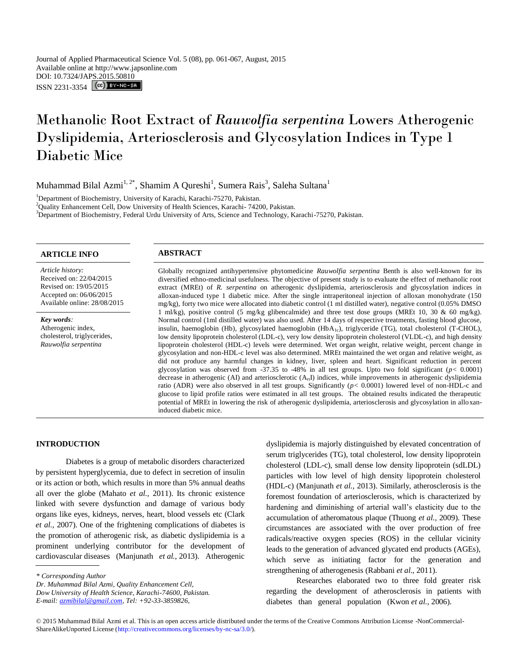# Methanolic Root Extract of *Rauwolfia serpentina* Lowers Atherogenic Dyslipidemia, Arteriosclerosis and Glycosylation Indices in Type 1 Diabetic Mice

Muhammad Bilal Azmi $^{1,\,2^*}$ , Shamim A Qureshi<sup>1</sup>, Sumera Rais<sup>3</sup>, Saleha Sultana<sup>1</sup>

<sup>1</sup>Department of Biochemistry, University of Karachi, Karachi-75270, Pakistan.

<sup>2</sup>Quality Enhancement Cell, Dow University of Health Sciences, Karachi- 74200, Pakistan.

<sup>3</sup>Department of Biochemistry, Federal Urdu University of Arts, Science and Technology, Karachi-75270, Pakistan.

# **ARTICLE INFO ABSTRACT**

*Article history:* Received on: 22/04/2015 Revised on: 19/05/2015 Accepted on: 06/06/2015 Available online: 28/08/2015

*Key words:*  Atherogenic index, cholesterol, triglycerides, *Rauwolfia serpentina*

diversified ethno-medicinal usefulness. The objective of present study is to evaluate the effect of methanolic root extract (MREt) of *R. serpentina* on atherogenic dyslipidemia, arteriosclerosis and glycosylation indices in alloxan-induced type 1 diabetic mice. After the single intraperitoneal injection of alloxan monohydrate (150 mg/kg), forty two mice were allocated into diabetic control (1 ml distilled water), negative control (0.05% DMSO 1 ml/kg), positive control (5 mg/kg glibencalmide) and three test dose groups (MREt 10, 30 & 60 mg/kg). Normal control (1ml distilled water) was also used. After 14 days of respective treatments, fasting blood glucose, insulin, haemoglobin (Hb), glycosylated haemoglobin (HbA<sub>1c</sub>), triglyceride (TG), total cholesterol (T-CHOL), low density lipoprotein cholesterol (LDL-c), very low density lipoprotein cholesterol (VLDL-c), and high density lipoprotein cholesterol (HDL-c) levels were determined. Wet organ weight, relative weight, percent change in glycosylation and non-HDL-c level was also determined. MREt maintained the wet organ and relative weight, as did not produce any harmful changes in kidney, liver, spleen and heart. Significant reduction in percent glycosylation was observed from -37.35 to -48% in all test groups. Upto two fold significant ( $p < 0.0001$ ) decrease in atherogenic (AI) and arteriosclerotic  $(A<sub>rt</sub>I)$  indices, while improvements in atherogenic dyslipidemia ratio (ADR) were also observed in all test groups. Significantly (*p<* 0.0001) lowered level of non-HDL-c and glucose to lipid profile ratios were estimated in all test groups. The obtained results indicated the therapeutic potential of MREt in lowering the risk of atherogenic dyslipidemia, arteriosclerosis and glycosylation in alloxaninduced diabetic mice.

Globally recognized antihypertensive phytomedicine *Rauwolfia serpentina* Benth is also well-known for its

### **INTRODUCTION**

Diabetes is a group of metabolic disorders characterized by persistent hyperglycemia, due to defect in secretion of insulin or its action or both, which results in more than 5% annual deaths all over the globe (Mahato *et al.,* 2011). Its chronic existence linked with severe dysfunction and damage of various body organs like eyes, kidneys, nerves, heart, blood vessels etc (Clark *et al.,* 2007). One of the frightening complications of diabetes is the promotion of atherogenic risk, as diabetic dyslipidemia is a prominent underlying contributor for the development of cardiovascular diseases (Manjunath *et al.,* 2013). Atherogenic

*Dr. Muhammad Bilal Azmi, Quality Enhancement Cell,* 

dyslipidemia is majorly distinguished by elevated concentration of serum triglycerides (TG), total cholesterol, low density lipoprotein cholesterol (LDL-c), small dense low density lipoprotein (sdLDL) particles with low level of high density lipoprotein cholesterol (HDL-c) (Manjunath *et al.,* 2013). Similarly, atherosclerosis is the foremost foundation of arteriosclerosis, which is characterized by hardening and diminishing of arterial wall's elasticity due to the accumulation of atheromatous plaque (Thuong *et al.,* 2009). These circumstances are associated with the over production of free radicals/reactive oxygen species (ROS) in the cellular vicinity leads to the generation of advanced glycated end products (AGEs), which serve as initiating factor for the generation and strengthening of atherogenesis (Rabbani *et al.,* 2011).

Researches elaborated two to three fold greater risk regarding the development of atherosclerosis in patients with diabetes than general population (Kwon *et al.,* 2006).

*<sup>\*</sup> Corresponding Author*

*Dow University of Health Science, Karachi-74600, Pakistan.* 

*E-mail[: azmibilal@gmail.com,](mailto:azmibilal@gmail.com) Tel: +92-33-3859826,*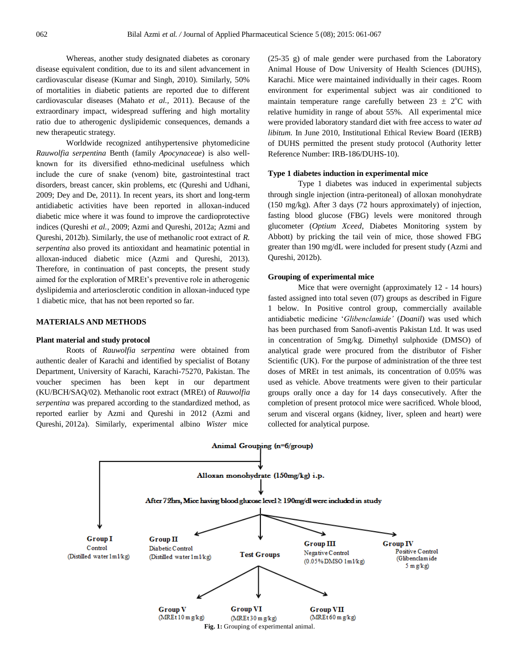Whereas, another study designated diabetes as coronary disease equivalent condition, due to its and silent advancement in cardiovascular disease (Kumar and Singh, 2010). Similarly, 50% of mortalities in diabetic patients are reported due to different cardiovascular diseases (Mahato *et al.,* 2011). Because of the extraordinary impact, widespread suffering and high mortality ratio due to atherogenic dyslipidemic consequences, demands a new therapeutic strategy.

Worldwide recognized antihypertensive phytomedicine *Rauwolfia serpentina* Benth (family *Apocynaceae*) is also wellknown for its diversified ethno-medicinal usefulness which include the cure of snake (venom) bite, gastrointestinal tract disorders, breast cancer, skin problems, etc (Qureshi and Udhani, 2009; Dey and De, 2011). In recent years, its short and long-term antidiabetic activities have been reported in alloxan-induced diabetic mice where it was found to improve the cardioprotective indices (Qureshi *et al.,* 2009; Azmi and Qureshi, 2012a; Azmi and Qureshi, 2012b). Similarly, the use of methanolic root extract of *R. serpentina* also proved its antioxidant and heamatinic potential in alloxan-induced diabetic mice (Azmi and Qureshi, 2013). Therefore, in continuation of past concepts, the present study aimed for the exploration of MREt's preventive role in atherogenic dyslipidemia and arteriosclerotic condition in alloxan-induced type 1 diabetic mice, that has not been reported so far.

#### **MATERIALS AND METHODS**

#### **Plant material and study protocol**

Roots of *Rauwolfia serpentina* were obtained from authentic dealer of Karachi and identified by specialist of Botany Department, University of Karachi, Karachi-75270, Pakistan. The voucher specimen has been kept in our department (KU/BCH/SAQ/02). Methanolic root extract (MREt) of *Rauwolfia serpentina* was prepared according to the standardized method, as reported earlier by Azmi and Qureshi in 2012 (Azmi and Qureshi, 2012a). Similarly, experimental albino *Wister* mice

(25-35 g) of male gender were purchased from the Laboratory Animal House of Dow University of Health Sciences (DUHS), Karachi. Mice were maintained individually in their cages. Room environment for experimental subject was air conditioned to maintain temperature range carefully between  $23 \pm 2$ °C with relative humidity in range of about 55%. All experimental mice were provided laboratory standard diet with free access to water *ad libitum.* In June 2010, Institutional Ethical Review Board (IERB) of DUHS permitted the present study protocol (Authority letter Reference Number: IRB-186/DUHS-10).

#### **Type 1 diabetes induction in experimental mice**

Type 1 diabetes was induced in experimental subjects through single injection (intra-peritoneal) of alloxan monohydrate (150 mg/kg). After 3 days (72 hours approximately) of injection, fasting blood glucose (FBG) levels were monitored through glucometer (*Optium Xceed*, Diabetes Monitoring system by Abbott) by pricking the tail vein of mice, those showed FBG greater than 190 mg/dL were included for present study (Azmi and Qureshi, 2012b).

#### **Grouping of experimental mice**

Mice that were overnight (approximately 12 - 14 hours) fasted assigned into total seven (07) groups as described in Figure 1 below. In Positive control group, commercially available antidiabetic medicine '*Glibenclamide'* (*Doanil*) was used which has been purchased from Sanofi-aventis Pakistan Ltd. It was used in concentration of 5mg/kg. Dimethyl sulphoxide (DMSO) of analytical grade were procured from the distributor of Fisher Scientific (UK). For the purpose of administration of the three test doses of MREt in test animals, its concentration of 0.05% was used as vehicle. Above treatments were given to their particular groups orally once a day for 14 days consecutively. After the completion of present protocol mice were sacrificed. Whole blood, serum and visceral organs (kidney, liver, spleen and heart) were collected for analytical purpose.

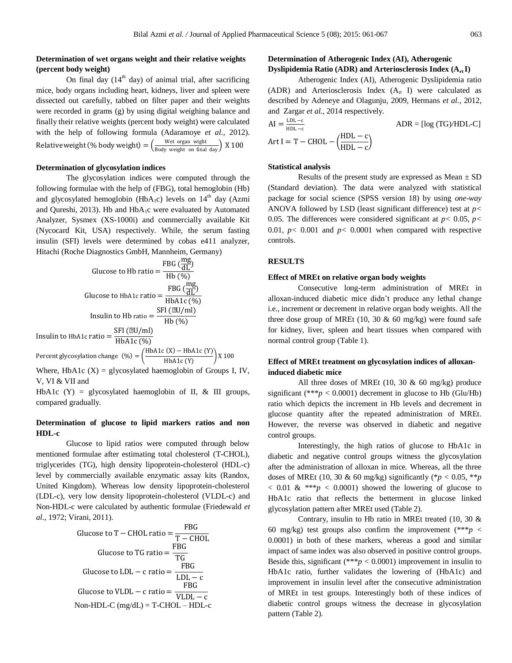# **Determination of wet organs weight and their relative weights (percent body weight)**

On final day  $(14<sup>th</sup>$  day) of animal trial, after sacrificing mice, body organs including heart, kidneys, liver and spleen were dissected out carefully, tabbed on filter paper and their weights were recorded in grams (g) by using digital weighing balance and finally their relative weights (percent body weight) were calculated with the help of following formula (Adaramoye *et al.,* 2012). Relative weight (% body weight) =  $\left(\frac{\text{Wet organ with}}{\text{Body weight on final day}}\right)$  X 100

#### **Determination of glycosylation indices**

The glycosylation indices were computed through the following formulae with the help of (FBG), total hemoglobin (Hb) and glycosylated hemoglobin (HbA<sub>1</sub>c) levels on  $14<sup>th</sup>$  day (Azmi and Qureshi, 2013). Hb and  $HbA_1c$  were evaluated by Automated Analyzer, Sysmex (XS-1000i) and commercially available Kit (Nycocard Kit, USA) respectively. While, the serum fasting insulin (SFI) levels were determined by cobas e411 analyzer, Hitachi (Roche Diagnostics GmbH, Mannheim, Germany)

Glucose to Hb ratio = 
$$
\frac{\text{FBG} \left( \frac{\text{mg}}{\text{dL}} \right)}{\text{Hb} \left( \frac{\text{w}}{\text{dL}} \right)}
$$
\nGlucose to HbA1c ratio = 
$$
\frac{\text{FBG} \left( \frac{\text{mg}}{\text{dL}} \right)}{\text{HbA1c} \left( \frac{\text{w}}{\text{dL}} \right)}
$$
\nInsulin to Hb ratio = 
$$
\frac{\text{SFI} \left( \mu \text{U/m} \right)}{\text{Hb} \left( \frac{\text{w}}{\text{dR}} \right)}
$$

Insulin to HbA1c ratio =  $\frac{\text{SFI (}\mu\text{U/ml})}{\text{IH}\cdot\text{A1} \cdot \text{O(1)}}$ HbA1c (%)

Percent glycosylation change  $(\%) = \left( \frac{\text{HbA1c (X)} - \text{HbA1c (Y)}}{\text{HbA1c (X)}} \right)$  $\frac{y}{\text{HbA1c (Y)}}$  X 100

Where, HbA1c  $(X)$  = glycosylated haemoglobin of Groups I, IV, V, VI & VII and

HbA1c  $(Y)$  = glycosylated haemoglobin of II, & III groups, compared gradually.

## **Determination of glucose to lipid markers ratios and non HDL-c**

Glucose to lipid ratios were computed through below mentioned formulae after estimating total cholesterol (T-CHOL), triglycerides (TG), high density lipoprotein-cholesterol (HDL-c) level by commercially available enzymatic assay kits (Randox, United Kingdom). Whereas low density lipoprotein-cholesterol (LDL-c), very low density lipoprotein-cholesterol (VLDL-c) and Non-HDL-c were calculated by authentic formulae (Friedewald *et al*., 1972; Virani, 2011).

Glucose to T – CHOL ratio = 
$$
\frac{\text{FBG}}{\text{T} - \text{CHOL}}
$$

\nGlucose to TG ratio =  $\frac{\text{FBG}}{\text{TG}}$ 

\nGlucose to LDL – c ratio =  $\frac{\text{FBG}}{\text{LDL} - \text{c}}$ 

\nGlucose to VLDL – c ratio =  $\frac{\text{FBG}}{\text{VLDL} - \text{c}}$ 

\nNon-HDL-C (mg/dL) = T-CHOL – HDL-c

# **Determination of Atherogenic Index (AI), Atherogenic Dyslipidemia Ratio (ADR) and Arteriosclerosis Index (Art I)**

Atherogenic Index (AI), Atherogenic Dyslipidemia ratio (ADR) and Arteriosclerosis Index  $(A<sub>rt</sub> I)$  were calculated as described by Adeneye and Olagunju*,* 2009, Hermans *et al.,* 2012, and Zargar *et al.,* 2014 respectively.

$$
AI = \frac{LDL - c}{HDL - c}
$$
  
Art I = T - CHOL -  $\left(\frac{HDL - c}{HDL - c}\right)$ 

#### **Statistical analysis**

Results of the present study are expressed as Mean  $\pm$  SD (Standard deviation). The data were analyzed with statistical package for social science (SPSS version 18) by using *one-way*  ANOVA followed by LSD (least significant difference) test at *p<*  0.05. The differences were considered significant at  $p < 0.05$ ,  $p <$ 0.01,  $p < 0.001$  and  $p < 0.0001$  when compared with respective controls.

#### **RESULTS**

#### **Effect of MREt on relative organ body weights**

Consecutive long-term administration of MREt in alloxan-induced diabetic mice didn't produce any lethal change i.e., increment or decrement in relative organ body weights. All the three dose group of MREt (10, 30  $\&$  60 mg/kg) were found safe for kidney, liver, spleen and heart tissues when compared with normal control group (Table 1).

# **Effect of MREt treatment on glycosylation indices of alloxaninduced diabetic mice**

All three doses of MREt  $(10, 30 \& 60 \text{ mg/kg})$  produce significant (\*\*\* $p < 0.0001$ ) decrement in glucose to Hb (Glu/Hb) ratio which depicts the increment in Hb levels and decrement in glucose quantity after the repeated administration of MREt. However, the reverse was observed in diabetic and negative control groups.

Interestingly, the high ratios of glucose to HbA1c in diabetic and negative control groups witness the glycosylation after the administration of alloxan in mice. Whereas, all the three doses of MREt (10, 30 & 60 mg/kg) significantly (\**p* < 0.05, \*\**p*  $< 0.01 \&$  \*\*\**p*  $< 0.0001$ ) showed the lowering of glucose to HbA1c ratio that reflects the betterment in glucose linked glycosylation pattern after MREt used (Table 2).

Contrary, insulin to Hb ratio in MREt treated (10, 30 & 60 mg/kg) test groups also confirm the improvement  $(***p <$ 0.0001) in both of these markers, whereas a good and similar impact of same index was also observed in positive control groups. Beside this, significant (\*\*\* $p < 0.0001$ ) improvement in insulin to HbA1c ratio, further validates the lowering of (HbA1c) and improvement in insulin level after the consecutive administration of MREt in test groups. Interestingly both of these indices of diabetic control groups witness the decrease in glycosylation pattern (Table 2).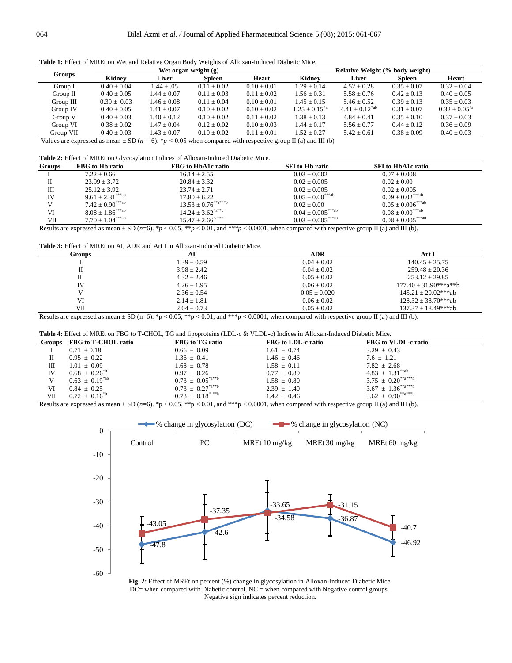|  | Table 1: Effect of MREt on Wet and Relative Organ Body Weights of Alloxan-Induced Diabetic Mice. |
|--|--------------------------------------------------------------------------------------------------|
|  |                                                                                                  |

|               | Wet organ weight $(g)$ |                 |               | Relative Weight (% body weight) |                    |                       |                 |                     |
|---------------|------------------------|-----------------|---------------|---------------------------------|--------------------|-----------------------|-----------------|---------------------|
| <b>Groups</b> | Kidnev                 | Liver           | Spleen        | Heart                           | Kidnev             | Liver                 | Spleen          | Heart               |
| Group I       | $0.40 + 0.04$          | $1.44 + .05$    | $0.11 + 0.02$ | $0.10 + 0.01$                   | $1.29 + 0.14$      | $4.52 + 0.28$         | $0.35 \pm 0.07$ | $0.32 + 0.04$       |
| Group II      | $0.40 + 0.05$          | $1.44 + 0.07$   | $0.11 + 0.03$ | $0.11 + 0.02$                   | $1.56 + 0.31$      | $5.58 \pm 0.76$       | $0.42 + 0.13$   | $0.40 + 0.05$       |
| Group III     | $0.39 + 0.03$          | $1.46 \pm 0.08$ | $0.11 + 0.04$ | $0.10 + 0.01$                   | $1.45 \pm 0.15$    | $5.46 \pm 0.52$       | $0.39 + 0.13$   | $0.35 + 0.03$       |
| Group IV      | $0.40 \pm 0.05$        | $1.41 + 0.07$   | $0.10 + 0.02$ | $0.10 + 0.02$                   | $1.25 + 0.15^{*a}$ | $4.41 \pm 0.12^{*ab}$ | $0.31 + 0.07$   | $0.32 + 0.05^{*}$ a |
| Group V       | $0.40 \pm 0.03$        | $1.40 \pm 0.12$ | $0.10 + 0.02$ | $0.11 + 0.02$                   | $1.38 \pm 0.13$    | $4.84 + 0.41$         | $0.35 + 0.10$   | $0.37 + 0.03$       |
| Group VI      | $0.38 \pm 0.02$        | $1.47 + 0.04$   | $0.12 + 0.02$ | $0.10 + 0.03$                   | $1.44 \pm 0.17$    | $5.56 \pm 0.77$       | $0.44 \pm 0.12$ | $0.36 + 0.09$       |
| Group VII     | $0.40 \pm 0.03$        | $1.43 + 0.07$   | $0.10 + 0.02$ | $0.11 + 0.01$                   | $1.52 + 0.27$      | $5.42 \pm 0.61$       | $0.38 \pm 0.09$ | $0.40 \pm 0.03$     |
|               |                        |                 |               |                                 |                    |                       |                 |                     |

Values are expressed as mean  $\pm$  SD ( $n = 6$ ). *\*p* < 0.05 when compared with respective group II (a) and III (b)

**Table 2:** Effect of MREt on Glycosylation Indices of Alloxan-Induced Diabetic Mice.

| <b>Groups</b> | FBG to Hb ratio                     | FBG to HbA1c ratio         | <b>SFI</b> to Hb ratio            | <b>SFI</b> to HbA1c ratio         |  |
|---------------|-------------------------------------|----------------------------|-----------------------------------|-----------------------------------|--|
|               | $7.22 + 0.66$                       | $16.14 \pm 2.55$           | $0.03 + 0.002$                    | $0.07 + 0.008$                    |  |
|               | $23.99 + 3.72$                      | $20.84 + 3.32$             | $0.02 + 0.005$                    | $0.02 + 0.00$                     |  |
| Ш             | $25.12 \pm 3.92$                    | $23.74 + 2.71$             | $0.02 + 0.005$                    | $0.02 + 0.005$                    |  |
| IV            | $9.61 + 2.31***$ <sup>ab</sup>      | $17.80 + 6.22$             | $0.05 + 0.00^{***ab}$             | $0.09 \pm 0.02***$ ab             |  |
|               | $7.42 \pm 0.90^{***ab}$             | $13.53 \pm 0.76^{**a***b}$ | $0.02 + 0.00$                     | $0.05 \pm 0.006$ <sup>***ab</sup> |  |
| VI            | $8.08 \pm 1.86***$ <sup>***ab</sup> | $14.24 + 3.62^{*a^{**}b}$  | $0.04 + 0.005^{***ab}$            | $0.08 \pm 0.00^{***}$ ab          |  |
| VII           | $7.70 \pm 1.04***$ ab               | $15.47 + 2.66^{*a^{**}b}$  | $0.03 \pm 0.005$ <sup>***ab</sup> | $0.08 \pm 0.005***$ ab            |  |

Results are expressed as mean  $\pm$  SD (*n*=6). *\*p* < 0.05, *\*\*p* < 0.01, and *\*\*\*p* < 0.0001, when compared with respective group II (a) and III (b).

**Table 3:** Effect of MREt on AI, ADR and Art I in Alloxan-Induced Diabetic Mice.

| Groups | AI              | <b>ADR</b>      | Art I                      |
|--------|-----------------|-----------------|----------------------------|
|        | $1.39 \pm 0.59$ | $0.04 \pm 0.02$ | $140.45 + 25.75$           |
|        | $3.98 \pm 2.42$ | $0.04 + 0.02$   | $259.48 + 20.36$           |
| Ш      | $4.32 + 2.46$   | $0.05 + 0.02$   | $253.12 \pm 29.85$         |
| IV     | $4.26 + 1.95$   | $0.06 \pm 0.02$ | $177.40 \pm 31.90***a***b$ |
|        | $2.36 + 0.54$   | $0.05 + 0.020$  | $145.21 + 20.02***ab$      |
| VI     | $2.14 \pm 1.81$ | $0.06 + 0.02$   | $128.32 + 38.70***ab$      |
| VII    | $2.04 \pm 0.73$ | $0.05 \pm 0.02$ | $137.37 + 18.49***ab$      |
|        |                 |                 |                            |

Results are expressed as mean  $\pm$  SD (n=6). \*p < 0.05, \*\*p < 0.01, and \*\*\*p < 0.0001, when compared with respective group II (a) and III (b).

| Table 4: Effect of MREt on FBG to T-CHOL, TG and lipoproteins (LDL-c & VLDL-c) Indices in Alloxan-Induced Diabetic Mice. |  |  |
|--------------------------------------------------------------------------------------------------------------------------|--|--|
|--------------------------------------------------------------------------------------------------------------------------|--|--|

| <b>Groups</b> | FBG to T-CHOL ratio   | FBG to TG ratio         | <b>FBG</b> to LDL-c ratio | FBG to VLDL-c ratio       |
|---------------|-----------------------|-------------------------|---------------------------|---------------------------|
|               | $0.71 \pm 0.18$       | $0.66 \pm 0.09$         | $1.61 \pm 0.74$           | $3.29 \pm 0.43$           |
|               | $0.95 \pm 0.22$       | $1.36 \pm 0.41$         | $1.46 \pm 0.46$           | $7.6 \pm 1.21$            |
| Ш             | $1.01 \pm 0.09$       | $1.68 \pm 0.78$         | $1.58 \pm 0.11$           | $7.82 \pm 2.68$           |
| IV            | $0.68 \pm 0.26^{*}$   | $0.97 \pm 0.26$         | $0.77 \pm 0.89$           | $4.83 \pm 1.31^{**ab}$    |
|               | $0.63 \pm 0.19^{*ab}$ | $0.73 + 0.05^{*a**b}$   | $1.58 \pm 0.80$           | $3.75 \pm 0.20^{**a***b}$ |
| VI            | $0.84 + 0.25$         | $0.73 + 0.27^{*a**b}$   | $2.39 \pm 1.40$           | $3.67 \pm 1.36^{**a***b}$ |
| VII           | $0.72 \pm 0.16^{*b}$  | $0.73 + 0.18^{*a^{*b}}$ | $1.42 \pm 0.46$           | $3.62 \pm 0.90^{**a***b}$ |

Results are expressed as mean  $\pm$  SD ( $n=6$ ). \*p < 0.05, \*\*p < 0.01, and \*\*\*p < 0.0001, when compared with respective group II (a) and III (b).



**Fig. 2:** Effect of MREt on percent (%) change in glycosylation in Alloxan-Induced Diabetic Mice DC= when compared with Diabetic control, NC = when compared with Negative control groups. Negative sign indicates percent reduction.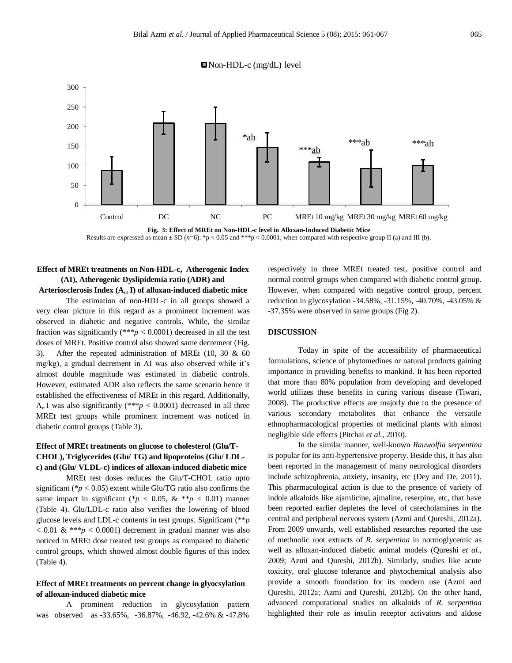



**Fig. 3: Effect of MREt on Non-HDL-c level in Alloxan-Induced Diabetic Mice** Results are expressed as mean  $\pm$  SD ( $n=6$ ). \*p < 0.05 and \*\*\*p < 0.0001, when compared with respective group II (a) and III (b).

# **Effect of MREt treatments on Non-HDL-c, Atherogenic Index (AI), Atherogenic Dyslipidemia ratio (ADR) and**

**Arteriosclerosis Index (Art I) of alloxan-induced diabetic mice**

The estimation of non-HDL-c in all groups showed a very clear picture in this regard as a prominent increment was observed in diabetic and negative controls. While, the similar fraction was significantly  $(***p < 0.0001)$  decreased in all the test doses of MREt. Positive control also showed same decrement (Fig. 3). After the repeated administration of MREt (10, 30 & 60 mg/kg), a gradual decrement in AI was also observed while it's almost double magnitude was estimated in diabetic controls. However, estimated ADR also reflects the same scenario hence it established the effectiveness of MREt in this regard. Additionally,  $A_{\pi}$ I was also significantly (\*\*\**p* < 0.0001) decreased in all three MREt test groups while prominent increment was noticed in diabetic control groups (Table 3).

# **Effect of MREt treatments on glucose to cholesterol (Glu/T-CHOL), Triglycerides (Glu/ TG) and lipoproteins (Glu/ LDLc) and (Glu/ VLDL-c) indices of alloxan-induced diabetic mice**

MREt test doses reduces the Glu/T-CHOL ratio upto significant ( $p < 0.05$ ) extent while Glu/TG ratio also confirms the same impact in significant (\* $p < 0.05$ , & \*\* $p < 0.01$ ) manner (Table 4). Glu/LDL-c ratio also verifies the lowering of blood glucose levels and LDL-c contents in test groups. Significant (\*\**p*  $< 0.01 \&$  \*\*\**p*  $< 0.0001$ ) decrement in gradual manner was also noticed in MREt dose treated test groups as compared to diabetic control groups, which showed almost double figures of this index (Table 4).

# **Effect of MREt treatments on percent change in glyocsylation of alloxan-induced diabetic mice**

A prominent reduction in glycosylation pattern was observed as -33.65%, -36.87%, -46.92, -42.6% & -47.8%

respectively in three MREt treated test, positive control and normal control groups when compared with diabetic control group. However, when compared with negative control group, percent reduction in glycosylation -34.58%, -31.15%, -40.70%, -43.05% & -37.35% were observed in same groups (Fig 2).

# **DISCUSSION**

Today in spite of the accessibility of pharmaceutical formulations, science of phytomedines or natural products gaining importance in providing benefits to mankind. It has been reported that more than 80% population from developing and developed world utilizes these benefits in curing various disease (Tiwari, 2008). The productive effects are majorly due to the presence of various secondary metabolites that enhance the versatile ethnopharmacological properties of medicinal plants with almost negligible side effects (Pitchai *et al.,* 2010).

In the similar manner, well-known *Rauwolfia serpentina* is popular for its anti-hypertensive property. Beside this, it has also been reported in the management of many neurological disorders include schizophrenia, anxiety, insanity, etc (Dey and De, 2011). This pharmacological action is due to the presence of variety of indole alkaloids like ajamlicine, ajmaline, reserpine, etc, that have been reported earlier depletes the level of catecholamines in the central and peripheral nervous system (Azmi and Qureshi, 2012a). From 2009 onwards, well established researches reported the use of methnolic root extracts of *R. serpentina* in normoglycemic as well as alloxan-induced diabetic animal models (Qureshi *et al.,*  2009; Azmi and Qureshi, 2012b). Similarly, studies like acute toxicity, oral glucose tolerance and phytochemical analysis also provide a smooth foundation for its modern use (Azmi and Qureshi, 2012a; Azmi and Qureshi, 2012b). On the other hand, advanced computational studies on alkaloids of *R. serpentina*  highlighted their role as insulin receptor activators and aldose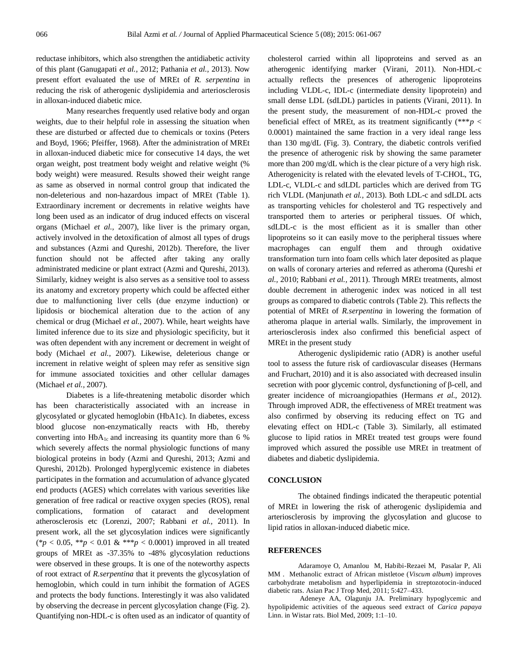reductase inhibitors, which also strengthen the antidiabetic activity of this plant (Ganugapati *et al.,* 2012; Pathania *et al.,* 2013). Now present effort evaluated the use of MREt of *R. serpentina* in reducing the risk of atherogenic dyslipidemia and arteriosclerosis in alloxan-induced diabetic mice.

Many researches frequently used relative body and organ weights, due to their helpful role in assessing the situation when these are disturbed or affected due to chemicals or toxins (Peters and Boyd, 1966; Pfeiffer, 1968). After the administration of MREt in alloxan-induced diabetic mice for consecutive 14 days, the wet organ weight, post treatment body weight and relative weight (% body weight) were measured. Results showed their weight range as same as observed in normal control group that indicated the non-deleterious and non-hazardous impact of MREt (Table 1). Extraordinary increment or decrements in relative weights have long been used as an indicator of drug induced effects on visceral organs (Michael *et al.,* 2007), like liver is the primary organ, actively involved in the detoxification of almost all types of drugs and substances (Azmi and Qureshi, 2012b). Therefore, the liver function should not be affected after taking any orally administrated medicine or plant extract (Azmi and Qureshi, 2013). Similarly, kidney weight is also serves as a sensitive tool to assess its anatomy and excretory property which could be affected either due to malfunctioning liver cells (due enzyme induction) or lipidosis or biochemical alteration due to the action of any chemical or drug (Michael *et al.,* 2007). While, heart weights have limited inference due to its size and physiologic specificity, but it was often dependent with any increment or decrement in weight of body (Michael *et al.,* 2007). Likewise, deleterious change or increment in relative weight of spleen may refer as sensitive sign for immune associated toxicities and other cellular damages (Michael *et al.,* 2007).

Diabetes is a life-threatening metabolic disorder which has been characteristically associated with an increase in glycosylated or glycated hemoglobin (HbA1c). In diabetes, excess blood glucose non-enzymatically reacts with Hb, thereby converting into  $HbA_{1c}$  and increasing its quantity more than 6 % which severely affects the normal physiologic functions of many biological proteins in body (Azmi and Qureshi, 2013; Azmi and Qureshi, 2012b). Prolonged hyperglycemic existence in diabetes participates in the formation and accumulation of advance glycated end products (AGES) which correlates with various severities like generation of free radical or reactive oxygen species (ROS), renal complications, formation of cataract and development atherosclerosis etc (Lorenzi, 2007; Rabbani *et al.,* 2011). In present work, all the set glycosylation indices were significantly (\**p* < 0.05, \*\**p* < 0.01 & \*\*\**p* < 0.0001) improved in all treated groups of MREt as -37.35% to -48% glycosylation reductions were observed in these groups. It is one of the noteworthy aspects of root extract of *R.serpentina* that it prevents the glycosylation of hemoglobin, which could in turn inhibit the formation of AGES and protects the body functions. Interestingly it was also validated by observing the decrease in percent glycosylation change (Fig. 2). Quantifying non-HDL-c is often used as an indicator of quantity of cholesterol carried within all lipoproteins and served as an atherogenic identifying marker (Virani, 2011). Non-HDL-c actually reflects the presences of atherogenic lipoproteins including VLDL-c, IDL-c (intermediate density lipoprotein) and small dense LDL (sdLDL) particles in patients (Virani, 2011). In the present study, the measurement of non-HDL-c proved the beneficial effect of MREt, as its treatment significantly  $(***p <$ 0.0001) maintained the same fraction in a very ideal range less than 130 mg/dL (Fig. 3). Contrary, the diabetic controls verified the presence of atherogenic risk by showing the same parameter more than 200 mg/dL which is the clear picture of a very high risk. Atherogenicity is related with the elevated levels of T-CHOL, TG, LDL-c, VLDL-c and sdLDL particles which are derived from TG rich VLDL (Manjunath *et al.,* 2013). Both LDL-c and sdLDL acts as transporting vehicles for cholesterol and TG respectively and transported them to arteries or peripheral tissues. Of which, sdLDL-c is the most efficient as it is smaller than other lipoproteins so it can easily move to the peripheral tissues where macrophages can engulf them and through oxidative transformation turn into foam cells which later deposited as plaque on walls of coronary arteries and referred as atheroma (Qureshi *et al.,* 2010; Rabbani *et al.,* 2011). Through MREt treatments, almost double decrement in atherogenic index was noticed in all test groups as compared to diabetic controls (Table 2). This reflects the potential of MREt of *R.serpentina* in lowering the formation of atheroma plaque in arterial walls. Similarly, the improvement in arteriosclerosis index also confirmed this beneficial aspect of MREt in the present study

Atherogenic dyslipidemic ratio (ADR) is another useful tool to assess the future risk of cardiovascular diseases (Hermans and Fruchart, 2010) and it is also associated with decreased insulin secretion with poor glycemic control, dysfunctioning of β-cell, and greater incidence of microangiopathies (Hermans *et al.,* 2012). Through improved ADR, the effectiveness of MREt treatment was also confirmed by observing its reducing effect on TG and elevating effect on HDL-c (Table 3). Similarly, all estimated glucose to lipid ratios in MREt treated test groups were found improved which assured the possible use MREt in treatment of diabetes and diabetic dyslipidemia.

#### **CONCLUSION**

The obtained findings indicated the therapeutic potential of MREt in lowering the risk of atherogenic dyslipidemia and arteriosclerosis by improving the glycosylation and glucose to lipid ratios in alloxan-induced diabetic mice.

### **REFERENCES**

Adaramoye O, Amanlou M, Habibi-Rezaei M, Pasalar P, Ali MM . Methanolic extract of African mistletoe (*Viscum album*) improves carbohydrate metabolism and hyperlipidemia in streptozotocin-induced diabetic rats. Asian Pac J Trop Med, 2011; 5:427–433.

Adeneye AA, Olagunju JA. Preliminary hypoglycemic and hypolipidemic activities of the aqueous seed extract of *Carica papaya*  Linn. in Wistar rats. Biol Med, 2009; 1:1–10.